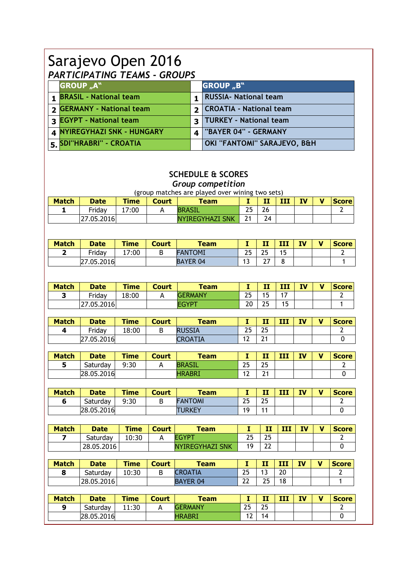## Sarajevo Open 2016 *PARTICIPATING TEAMS - GROUPS*

| <b>GROUP "A"</b>                |                | <b>GROUP</b> "B"               |
|---------------------------------|----------------|--------------------------------|
| 1 <b>BRASIL</b> - National team |                | <b>RUSSIA- National team</b>   |
| <b>SERMANY - National team</b>  | $\overline{2}$ | <b>CROATIA - National team</b> |
| <b>3 EGYPT - National team</b>  | 3              | <b>TURKEY - National team</b>  |
| 4 NYIREGYHAZI SNK - HUNGARY     | $\Delta$       | "BAYER 04" - GERMANY           |
| 5. SDI"HRABRI" - CROATIA        |                | OKI "FANTOMI" SARAJEVO, B&H    |

## **SCHEDULE & SCORES**

*Group competition*

|              |             |             |              | (group matches are played over wining two sets) |    |    |   |           |              |
|--------------|-------------|-------------|--------------|-------------------------------------------------|----|----|---|-----------|--------------|
| <b>Match</b> | <b>Date</b> | <b>Time</b> | <b>Court</b> | <b>Team</b>                                     |    |    | ш | <b>IV</b> | <b>Score</b> |
|              | Fridav      | 17:00       |              | BRASIL                                          | 25 | 26 |   |           |              |
|              | 27.05.2016  |             |              | <b>NYIREGYHAZI SNK</b>                          |    |    |   |           |              |

| <b>Match</b> | <b>Date</b> | Time  | <b>Court</b> | <b>Team</b>     | . .                           | --<br>. .        | <b>TTT</b><br> | IV | v | <b>Score</b> |
|--------------|-------------|-------|--------------|-----------------|-------------------------------|------------------|----------------|----|---|--------------|
|              | Friday      | 17:00 | ◡            | <b>FANTOMI</b>  | つに<br>رے                      | nг<br><u>_ _</u> | 1 F<br>◡       |    |   |              |
|              | 27.05.2016  |       |              | <b>BAYER 04</b> | $\overline{\phantom{0}}$<br>ت | $\sim$ $-$       |                |    |   |              |

| <b>Match</b> | <b>Date</b> | <b>Time</b> | Court | <b>Team</b>    |                  | - -<br>          | III           | <b>IV</b> | $\mathbf{v}$ | <b>Score</b> |
|--------------|-------------|-------------|-------|----------------|------------------|------------------|---------------|-----------|--------------|--------------|
|              | Friday      | 18:00       |       | <b>GERMANY</b> | つら<br><u>_ _</u> | -<br>٠           | $\rightarrow$ |           |              |              |
|              | 27.05.2016  |             |       | <b>EGYP</b>    | 20               | ~-<br><u>_ _</u> | 15            |           |              |              |

| <b>Match</b> | <b>Date</b> | <b>Time</b> | <b>Court</b> | <b>Team</b>    |          | п              | ---<br> | TV | v | <b>Score</b> |
|--------------|-------------|-------------|--------------|----------------|----------|----------------|---------|----|---|--------------|
|              | Friday      | 18:00       | ◡            | <b>RUSSIA</b>  | 25       | 25             |         |    |   |              |
|              | 27.05.2016  |             |              | <b>CROATIA</b> | Ō<br>1 L | 24<br><u>.</u> |         |    |   |              |

| <b>Match</b> | <b>Date</b> | <b>Time</b> | Court | Team          | . .                             | --<br>.   | <b>TTT</b><br>--- | IV | v | <b>Score</b> |
|--------------|-------------|-------------|-------|---------------|---------------------------------|-----------|-------------------|----|---|--------------|
|              | Saturdav    | 9:30        |       | <b>BRASIL</b> | 25                              | つに<br>ر ے |                   |    |   |              |
|              | 28.05.2016  |             |       | <b>HRABRI</b> | $\overline{\phantom{a}}$<br>. . | 24<br>▃   |                   |    |   |              |

| <b>Match</b> | <b>Date</b> | <b>Time</b> | Court | Team           | . . | --<br><b>COLUMN</b> | <b>TTT</b><br>--- | IV | v | <b>Score</b> |
|--------------|-------------|-------------|-------|----------------|-----|---------------------|-------------------|----|---|--------------|
|              | Saturday    | 9:30        | ┕     | <b>FANTOMI</b> | 25  | つに<br>ر ے           |                   |    |   |              |
|              | 28.05.2016  |             |       | <b>TURKEY</b>  | 10. | $\overline{A}$      |                   |    |   |              |

| <b>Match</b> | <b>Date</b> | <b>Time</b> | <b>Court</b> | <b>Team</b>            |                  | - 7<br>. .       | ш | IV | v | <b>Score</b> |
|--------------|-------------|-------------|--------------|------------------------|------------------|------------------|---|----|---|--------------|
|              | Saturdav    | 10:30       |              | FGYP1                  | つら<br><u>_ _</u> | つに<br><u>_ _</u> |   |    |   |              |
|              | 28.05.2016  |             |              | <b>NYIREGYHAZI SNK</b> | 1 Q              | ົາ<br>∸∸         |   |    |   |              |

| <b>Match</b> | <b>Date</b> | <b>Time</b> | <b>Court</b> | <b>Team</b>     | . .      | $-1$<br>--                    | <b>TTT</b><br>---  | <b>IV</b> | v | <b>Score</b> |
|--------------|-------------|-------------|--------------|-----------------|----------|-------------------------------|--------------------|-----------|---|--------------|
| o            | Saturdav    | 10:30       | ┕            | <b>CROATIA</b>  | 25       | $\overline{\phantom{a}}$<br>٠ | $\mathbf{a}$<br>ΖU |           |   |              |
|              | 28.05.2016  |             |              | <b>BAYER 04</b> | วว<br>∠∠ | つに<br><u>_ _</u>              | 18                 |           |   |              |

| <b>Match</b> | <b>Date</b> | <b>Time</b> | Court | <b>Team</b>    |           | - -<br> | <b>TTT</b><br>--- | TV | M | <b>Score</b> |
|--------------|-------------|-------------|-------|----------------|-----------|---------|-------------------|----|---|--------------|
| Q            | Saturday    | 11:30       |       | <b>GERMANY</b> | 25        | 25      |                   |    |   |              |
|              | 28.05.2016  |             |       | <b>HRABRI</b>  | . .<br>╹┻ | 14      |                   |    |   |              |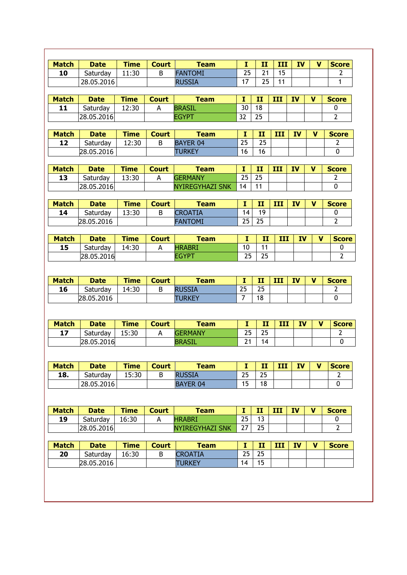| <b>Match</b> | <b>Date</b>            | <b>Time</b> | <b>Court</b> | <b>Team</b>                     | $\mathbf{I}$   | II            | III | IV        | v            | <b>Score</b>   |
|--------------|------------------------|-------------|--------------|---------------------------------|----------------|---------------|-----|-----------|--------------|----------------|
| 10           | Saturday               | 11:30       | B            | <b>FANTOMI</b>                  | 25             | 21            | 15  |           |              | $\overline{2}$ |
|              | 28.05.2016             |             |              | <b>RUSSIA</b>                   | 17             | 25            | 11  |           |              | 1              |
|              |                        |             |              |                                 |                |               |     |           |              |                |
| <b>Match</b> | <b>Date</b>            | <b>Time</b> | <b>Court</b> | <b>Team</b>                     | I              | II            | III | <b>IV</b> | V            | <b>Score</b>   |
| 11           | Saturday               | 12:30       | A            | <b>BRASIL</b>                   | 30             | 18            |     |           |              | 0              |
|              | 28.05.2016             |             |              | <b>EGYPT</b>                    | 32             | 25            |     |           |              | $\mathbf{2}$   |
|              |                        |             |              |                                 |                |               |     |           |              |                |
| <b>Match</b> | <b>Date</b>            | <b>Time</b> | <b>Court</b> | <b>Team</b>                     | I              | $\mathbf{II}$ | III | <b>IV</b> | V            | <b>Score</b>   |
| 12           | Saturday               | 12:30       | B            | <b>BAYER 04</b>                 | 25             | 25            |     |           |              | $\overline{2}$ |
|              | 28.05.2016             |             |              | <b>TURKEY</b>                   | 16             | 16            |     |           |              | 0              |
|              |                        |             |              |                                 |                |               |     |           |              |                |
| <b>Match</b> | <b>Date</b>            | <b>Time</b> | <b>Court</b> | <b>Team</b>                     | I              | II            | III | <b>IV</b> | V            | <b>Score</b>   |
| 13           | Saturday               | 13:30       | Α            | <b>GERMANY</b>                  | 25             | 25            |     |           |              | $\overline{2}$ |
|              | 28.05.2016             |             |              | <b>NYIREGYHAZI SNK</b>          | 14             | 11            |     |           |              | 0              |
|              |                        |             |              |                                 |                |               |     |           |              |                |
| <b>Match</b> | <b>Date</b>            | <b>Time</b> | <b>Court</b> | <b>Team</b>                     | 1              | II            | III | <b>IV</b> | V            | <b>Score</b>   |
| 14           | Saturday               | 13:30       | B            | <b>CROATIA</b>                  | 14             | 19            |     |           |              | 0              |
|              | 28.05.2016             |             |              | <b>FANTOMI</b>                  | 25             | 25            |     |           |              | $\overline{2}$ |
|              |                        |             |              |                                 |                |               |     |           |              |                |
| <b>Match</b> | <b>Date</b>            | <b>Time</b> | <b>Court</b> | <b>Team</b>                     | I              | II            | III | <b>IV</b> | v            | <b>Score</b>   |
| 15           | Saturday               | 14:30       | A            | <b>HRABRI</b>                   | 10             | 11            |     |           |              | 0              |
|              | 28.05.2016             |             |              | <b>EGYPT</b>                    | 25             | 25            |     |           |              | $\overline{2}$ |
| <b>Match</b> | <b>Date</b>            | <b>Time</b> | <b>Court</b> | <b>Team</b>                     | $\mathbf I$    | II            | III | <b>IV</b> | V            | <b>Score</b>   |
|              |                        |             |              |                                 |                |               |     |           |              |                |
|              |                        |             |              |                                 |                |               |     |           |              |                |
| 16           | Saturday               | 14:30       | B            | <b>RUSSIA</b>                   | 25             | 25            |     |           |              | $\mathbf{2}$   |
|              | 28.05.2016             |             |              | <b>TURKEY</b>                   | $\overline{7}$ | 18            |     |           |              | $\mathbf 0$    |
|              |                        |             |              |                                 |                |               |     |           |              |                |
| <b>Match</b> | <b>Date</b>            | <b>Time</b> | <b>Court</b> | <b>Team</b>                     | $\mathbf{I}$   | II            | III | <b>IV</b> | v            | <b>Score</b>   |
| 17           | Saturday               | 15:30       | A            | <b>GERMANY</b>                  | 25             | 25            |     |           |              | $\mathbf{2}$   |
|              | 28.05.2016             |             |              | <b>BRASIL</b>                   | 21             | 14            |     |           |              | 0              |
|              |                        |             |              |                                 |                |               |     |           |              |                |
|              |                        |             |              |                                 |                |               |     |           |              |                |
| <b>Match</b> | <b>Date</b>            | <b>Time</b> | <b>Court</b> | <b>Team</b>                     | I              | $\mathbf{I}$  | III | IV        | v            | <b>Score</b>   |
| 18.          | Saturday               | 15:30       | B            | <b>RUSSIA</b>                   | 25             | 25            |     |           |              | $\overline{2}$ |
|              | 28.05.2016             |             |              | <b>BAYER 04</b>                 | 15             | 18            |     |           |              | $\mathbf 0$    |
|              |                        |             |              |                                 |                |               |     |           |              |                |
|              |                        |             |              |                                 |                |               |     |           |              |                |
| <b>Match</b> | <b>Date</b>            | <b>Time</b> | <b>Court</b> | <b>Team</b>                     | $\mathbf{I}$   | $\mathbf{II}$ | III | <b>IV</b> | V            | <b>Score</b>   |
| 19           | Saturday               | 16:30       | A            | <b>HRABRI</b>                   | 25             | 13            |     |           |              | $\mathbf 0$    |
|              | 28.05.2016             |             |              | <b>NYIREGYHAZI SNK</b>          | 27             | 25            |     |           |              | $\mathbf{2}$   |
|              |                        |             |              |                                 |                |               |     |           |              |                |
| <b>Match</b> | <b>Date</b>            | <b>Time</b> | <b>Court</b> | <b>Team</b>                     | I              | $\mathbf{II}$ | III | IV        | $\mathbf{V}$ |                |
| 20           | Saturday<br>28.05.2016 | 16:30       | B            | <b>CROATIA</b><br><b>TURKEY</b> | 25<br>14       | 25<br>15      |     |           |              | <b>Score</b>   |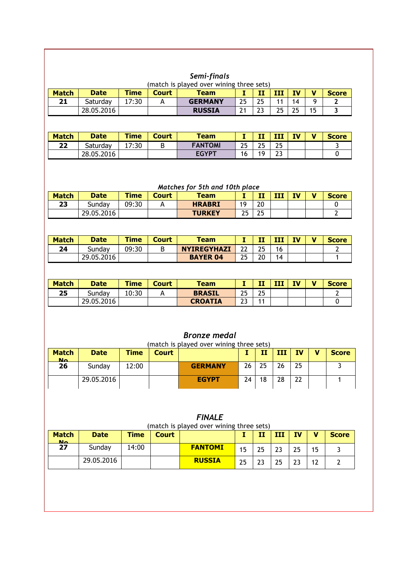|              |             |             |              | Semi-finals                              |     |    |    |    |    |              |
|--------------|-------------|-------------|--------------|------------------------------------------|-----|----|----|----|----|--------------|
|              |             |             |              | (match is played over wining three sets) |     |    |    |    |    |              |
| <b>Match</b> | <b>Date</b> | <b>Time</b> | <b>Court</b> | <b>Team</b>                              |     | П  | ш  | ΙV | v  | <b>Score</b> |
| 21           | Saturday    | 17:30       |              | <b>GERMANY</b>                           | 25  | 25 |    | 14 | a  | ◠            |
|              | 28.05.2016  |             |              | <b>RUSSIA</b>                            | ີ 1 | 23 | つら | 25 | 15 |              |

| <b>Match</b> | <b>Date</b> | <b>Time</b> | <b>Court</b> | <b>Team</b>    |    | m.<br>. .        | ш         | TV | M | <b>Score</b> |
|--------------|-------------|-------------|--------------|----------------|----|------------------|-----------|----|---|--------------|
| 22           | Saturdav    | 7:30<br>⊥   |              | <b>FANTOMI</b> | 25 | つら<br><u>_ _</u> | つに<br>LJ  |    |   |              |
|              | 28.05.2016  |             |              | <b>FGYPT</b>   | 16 | 19               | ົາ<br>ر ے |    |   |              |

## *Matches for 5th and 10th place*

| <b>Match</b> | <b>Date</b> | <b>Time</b> | Court | <b>Team</b>   |    | - -<br>л.       | 777<br>. | TV | v | <b>Score</b> |
|--------------|-------------|-------------|-------|---------------|----|-----------------|----------|----|---|--------------|
| 23           | Sundav      | 09:30       |       | <b>HRABRI</b> | 10 | 20              |          |    |   |              |
|              | 29.05.2016  |             |       | <b>TURKEY</b> | 25 | つら<br><u>LJ</u> |          |    |   |              |

| <b>Match</b> | <b>Date</b> | <b>Time</b> | Court | <b>Team</b>        |          | - -<br>. . | ш  | TV | <b>Score</b> |
|--------------|-------------|-------------|-------|--------------------|----------|------------|----|----|--------------|
| 24           | Sundav      | 09:30       |       | <b>NYIREGYHAZI</b> | າາ<br>∠∠ | つら         | 16 |    |              |
|              | 29.05.2016  |             |       | <b>BAYER 04</b>    | 25       | 20         | 14 |    |              |

| <b>Match</b> | <b>Date</b> | Time  | Court | <b>Team</b>    | . .       | --<br>   | III | IV | $\blacksquare$ | <b>Score</b> |
|--------------|-------------|-------|-------|----------------|-----------|----------|-----|----|----------------|--------------|
| 25           | Sundav      | 10:30 |       | <b>BRASIL</b>  | つら<br>ر ے | つに<br>∠J |     |    |                |              |
|              | 29.05.2016  |       |       | <b>CROATIA</b> | วว<br>ر ے |          |     |    |                |              |

## *Bronze medal* (match is played over wining three sets) **Match No Date Time Court I II III IV V Score 26** Sunday 12:00 **GERMANY** 26 25 26 25 3 29.05.2016 **EGYPT** 24 18 28 22 1

| (match is played over wining three sets) |             |             |              |                |    |    |     |           |   |              |  |
|------------------------------------------|-------------|-------------|--------------|----------------|----|----|-----|-----------|---|--------------|--|
| <b>Match</b><br><b>N<sub>o</sub></b>     | <b>Date</b> | <b>Time</b> | <b>Court</b> |                |    | II | III | <b>IV</b> | v | <b>Score</b> |  |
| 27                                       | Sunday      | 14:00       |              | <b>FANTOMI</b> |    | 25 | 23  | 25        |   |              |  |
|                                          | 29.05.2016  |             |              | <b>RUSSIA</b>  | 25 | 23 | 25  | วว        |   |              |  |